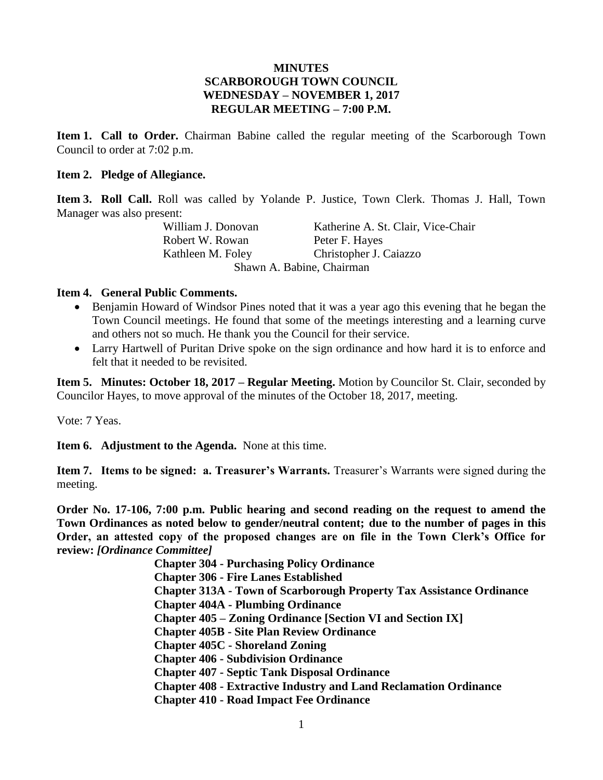## **MINUTES SCARBOROUGH TOWN COUNCIL WEDNESDAY – NOVEMBER 1, 2017 REGULAR MEETING – 7:00 P.M.**

**Item 1. Call to Order.** Chairman Babine called the regular meeting of the Scarborough Town Council to order at 7:02 p.m.

### **Item 2. Pledge of Allegiance.**

**Item 3. Roll Call.** Roll was called by Yolande P. Justice, Town Clerk. Thomas J. Hall, Town Manager was also present:

William J. Donovan Katherine A. St. Clair, Vice-Chair Robert W. Rowan Peter F. Hayes Kathleen M. Foley Christopher J. Caiazzo Shawn A. Babine, Chairman

### **Item 4. General Public Comments.**

- Benjamin Howard of Windsor Pines noted that it was a year ago this evening that he began the Town Council meetings. He found that some of the meetings interesting and a learning curve and others not so much. He thank you the Council for their service.
- Larry Hartwell of Puritan Drive spoke on the sign ordinance and how hard it is to enforce and felt that it needed to be revisited.

**Item 5. Minutes: October 18, 2017 – Regular Meeting.** Motion by Councilor St. Clair, seconded by Councilor Hayes, to move approval of the minutes of the October 18, 2017, meeting.

Vote: 7 Yeas.

**Item 6. Adjustment to the Agenda.** None at this time.

**Item 7. Items to be signed: a. Treasurer's Warrants.** Treasurer's Warrants were signed during the meeting.

**Order No. 17-106, 7:00 p.m. Public hearing and second reading on the request to amend the Town Ordinances as noted below to gender/neutral content; due to the number of pages in this Order, an attested copy of the proposed changes are on file in the Town Clerk's Office for review:** *[Ordinance Committee]*

> **Chapter 304 - Purchasing Policy Ordinance Chapter 306 - Fire Lanes Established Chapter 313A - Town of Scarborough Property Tax Assistance Ordinance Chapter 404A - Plumbing Ordinance Chapter 405 – Zoning Ordinance [Section VI and Section IX] Chapter 405B - Site Plan Review Ordinance Chapter 405C - Shoreland Zoning Chapter 406 - Subdivision Ordinance Chapter 407 - Septic Tank Disposal Ordinance Chapter 408 - Extractive Industry and Land Reclamation Ordinance Chapter 410 - Road Impact Fee Ordinance**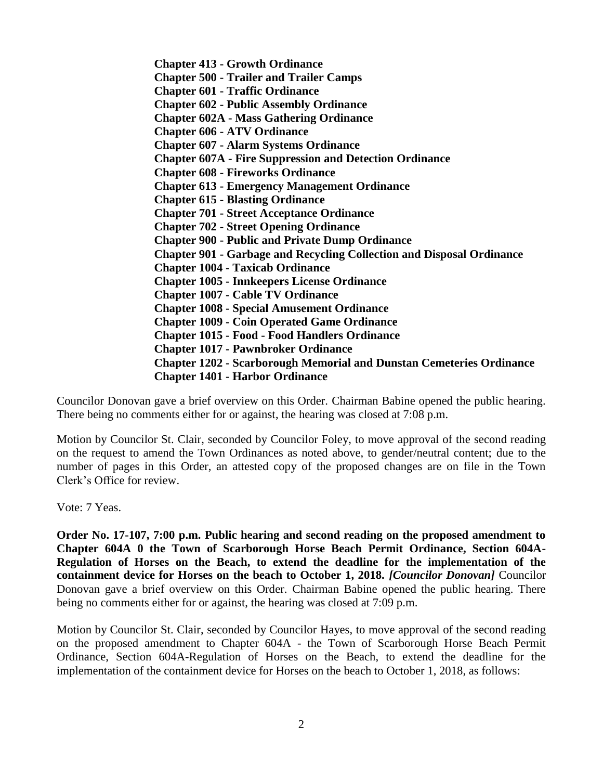**Chapter 413 - Growth Ordinance Chapter 500 - Trailer and Trailer Camps Chapter 601 - Traffic Ordinance Chapter 602 - Public Assembly Ordinance Chapter 602A - Mass Gathering Ordinance Chapter 606 - ATV Ordinance Chapter 607 - Alarm Systems Ordinance Chapter 607A - Fire Suppression and Detection Ordinance Chapter 608 - Fireworks Ordinance Chapter 613 - Emergency Management Ordinance Chapter 615 - Blasting Ordinance Chapter 701 - Street Acceptance Ordinance Chapter 702 - Street Opening Ordinance Chapter 900 - Public and Private Dump Ordinance Chapter 901 - Garbage and Recycling Collection and Disposal Ordinance Chapter 1004 - Taxicab Ordinance Chapter 1005 - Innkeepers License Ordinance Chapter 1007 - Cable TV Ordinance Chapter 1008 - Special Amusement Ordinance Chapter 1009 - Coin Operated Game Ordinance Chapter 1015 - Food - Food Handlers Ordinance Chapter 1017 - Pawnbroker Ordinance Chapter 1202 - Scarborough Memorial and Dunstan Cemeteries Ordinance Chapter 1401 - Harbor Ordinance**

Councilor Donovan gave a brief overview on this Order. Chairman Babine opened the public hearing. There being no comments either for or against, the hearing was closed at 7:08 p.m.

Motion by Councilor St. Clair, seconded by Councilor Foley, to move approval of the second reading on the request to amend the Town Ordinances as noted above, to gender/neutral content; due to the number of pages in this Order, an attested copy of the proposed changes are on file in the Town Clerk's Office for review.

Vote: 7 Yeas.

**Order No. 17-107, 7:00 p.m. Public hearing and second reading on the proposed amendment to Chapter 604A 0 the Town of Scarborough Horse Beach Permit Ordinance, Section 604A-Regulation of Horses on the Beach, to extend the deadline for the implementation of the containment device for Horses on the beach to October 1, 2018.** *[Councilor Donovan]* Councilor Donovan gave a brief overview on this Order. Chairman Babine opened the public hearing. There being no comments either for or against, the hearing was closed at 7:09 p.m.

Motion by Councilor St. Clair, seconded by Councilor Hayes, to move approval of the second reading on the proposed amendment to Chapter 604A - the Town of Scarborough Horse Beach Permit Ordinance, Section 604A-Regulation of Horses on the Beach, to extend the deadline for the implementation of the containment device for Horses on the beach to October 1, 2018, as follows: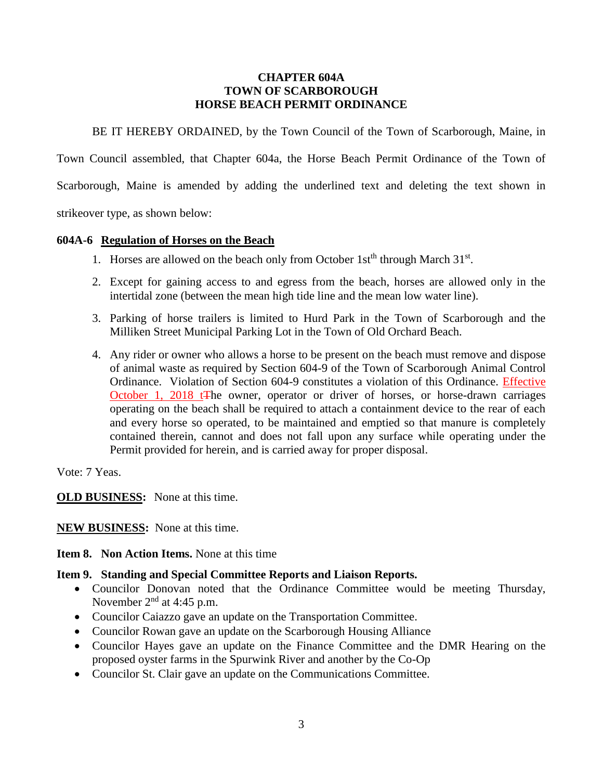### **CHAPTER 604A TOWN OF SCARBOROUGH HORSE BEACH PERMIT ORDINANCE**

BE IT HEREBY ORDAINED, by the Town Council of the Town of Scarborough, Maine, in

Town Council assembled, that Chapter 604a, the Horse Beach Permit Ordinance of the Town of

Scarborough, Maine is amended by adding the underlined text and deleting the text shown in

strikeover type, as shown below:

#### **604A-6 Regulation of Horses on the Beach**

- 1. Horses are allowed on the beach only from October 1st<sup>th</sup> through March 31<sup>st</sup>.
- 2. Except for gaining access to and egress from the beach, horses are allowed only in the intertidal zone (between the mean high tide line and the mean low water line).
- 3. Parking of horse trailers is limited to Hurd Park in the Town of Scarborough and the Milliken Street Municipal Parking Lot in the Town of Old Orchard Beach.
- 4. Any rider or owner who allows a horse to be present on the beach must remove and dispose of animal waste as required by Section 604-9 of the Town of Scarborough Animal Control Ordinance. Violation of Section 604-9 constitutes a violation of this Ordinance. Effective October 1, 2018 t<sub>The owner, operator or driver of horses, or horse-drawn carriages</sub> operating on the beach shall be required to attach a containment device to the rear of each and every horse so operated, to be maintained and emptied so that manure is completely contained therein, cannot and does not fall upon any surface while operating under the Permit provided for herein, and is carried away for proper disposal.

Vote: 7 Yeas.

**OLD BUSINESS:** None at this time.

**NEW BUSINESS:** None at this time.

**Item 8. Non Action Items.** None at this time

## **Item 9. Standing and Special Committee Reports and Liaison Reports.**

- Councilor Donovan noted that the Ordinance Committee would be meeting Thursday, November  $2<sup>nd</sup>$  at 4:45 p.m.
- Councilor Caiazzo gave an update on the Transportation Committee.
- Councilor Rowan gave an update on the Scarborough Housing Alliance
- Councilor Hayes gave an update on the Finance Committee and the DMR Hearing on the proposed oyster farms in the Spurwink River and another by the Co-Op
- Councilor St. Clair gave an update on the Communications Committee.